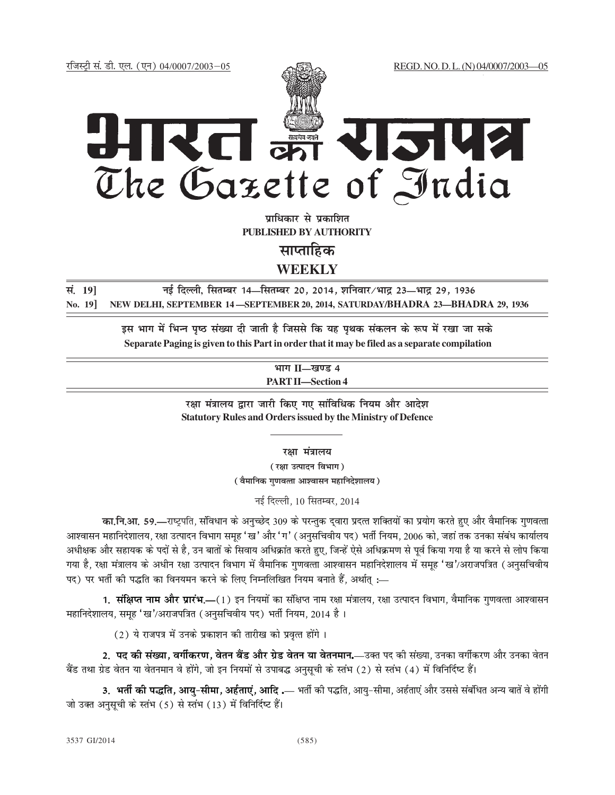

**un**धिकार से पकाशित **PUBLISHED BY AUTHORITY**

**साप्ताहिक** 

**WEEKLY**

**la- 19] ubZ fnYyh, flRkEcj 14—flrEcj 20] 2014] 'kfuokj@Hkkæ 23—Hkkæ 29] 1936 No. 19] NEW DELHI, SEPTEMBER 14 —SEPTEMBER 20, 2014, SATURDAY/BHADRA 23—BHADRA 29, 1936**

> इस भाग में भिन्न पृष्ठ संख्या दी जाती है जिससे कि यह पृथक संकलन के रूप में रखा जा सके  **Separate Paging is given to this Part in order that it may be filed as a separate compilation**

> > **Hkkx II—[k.M 4 PART II—Section 4**

रक्षा मंत्रालय द्वारा जारी किए गए सांविधिक नियम और आदेश **Statutory Rules and Orders issued by the Ministry of Defence**

**रक्षा** मंत्रालय

*(र*क्षा उत्पादन विभाग) *(* वैमानिक गुणवत्ता आश्वासन महानिदेशालय)

नई दिल्ली. 10 सितम्बर, 2014

**का.नि.आ. 59.—राष्ट्रपति, संविधान के अनुच्छेद 309 के परन्तुक दुवारा प्रदत्त शक्तियों का प्रयोग करते हुए और वैमानिक गुणवत्ता** आश्वासन महानिदेशालय, रक्षा उत्पादन विभाग समूह 'ख' और 'ग' (अनुसचिवीय पद) भर्ती नियम, 2006 को, जहां तक उनका संबंध कार्यालय अधीक्षक और सहायक के पदों से है, उन बातों के सिवाय अधिक्रांत करते हुए, जिन्हें ऐसे अधिक्रमण से पूर्व किया गया है या करने से लोप किया गया है, रक्षा मंत्रालय के अधीन रक्षा उत्पादन विभाग में वैमानिक गणवत्ता आश्वासन महानिदेशालय में समह 'ख'/अराजपत्रित (अनसचिवीय पद) पर भर्ती की पद्धति का विनयमन करने के लिए निम्नलिखित नियम बनाते हैं, अर्थात :—

**1. <b>संक्षिप्त नाम और प्रारंभ.—**(1) इन नियमों का संक्षिप्त नाम रक्षा मंत्रालय, रक्षा उत्पादन विभाग, वैमानिक गुणवत्ता आश्वासन महानिदेशालय, समह 'ख'/अराजपत्रित (अनसचिवीय पद) भर्ती नियम, 2014 है।

 $(2)$  ये राजपत्र में उनके प्रकाशन की तारीख को प्रवृत्त होंगे।

2. **पद की संख्या, वर्गीकरण, वेतन बैंड और ग्रेड वेतन या वेतनमान.—उक्त पद की संख्या, उनका वर्गीकरण और उनका वेतन** बैंड तथा ग्रेड वेतन या वेतनमान वे होंगे, जो इन नियमों से उपाबद्ध अनुसूची के स्तंभ (2) से स्तंभ (4) में विनिर्दिष्ट हैं।

3. भर्ती की पद्धति, आयु-सीमा, अर्हताएं, आदि .— भर्ती की पद्धति, आयु-सीमा, अर्हताएं और उससे संबंधित अन्य बातें वे होंगी जो उक्त अनसची के स्तंभ (5) से स्तंभ (13) में विनिर्दिष्ट हैं।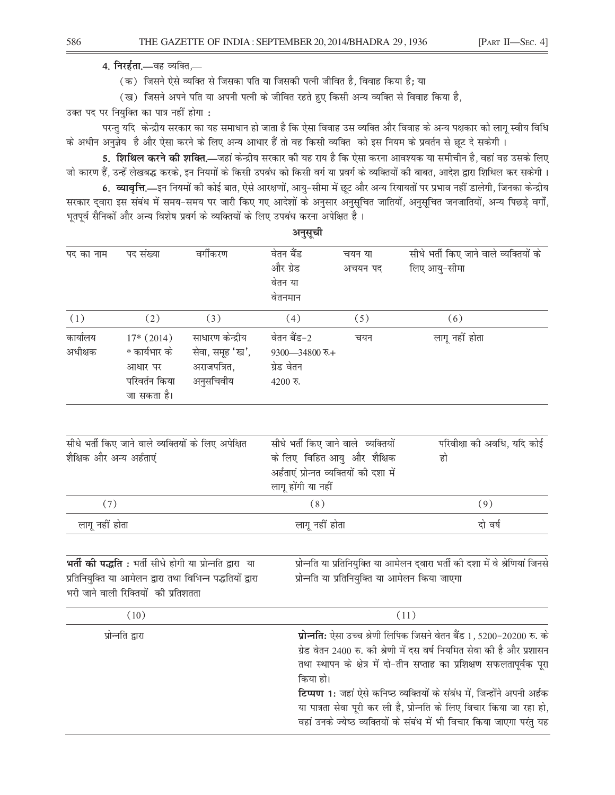4. निरर्हता.—वह व्यक्ति,—

(क) जिसने ऐसे व्यक्ति से जिसका पति या जिसकी पत्नी जीवित है, विवाह किया है: या

(ख) जिसने अपने पति या अपनी पत्नी के जीवित रहते हुए किसी अन्य व्यक्ति से विवाह किया है,

उक्त पद पर नियुक्ति का पात्र नहीं होगा:

परन्तु यदि केन्द्रीय सरकार का यह समाधान हो जाता है कि ऐसा विवाह उस व्यक्ति और विवाह के अन्य पक्षकार को लागू स्वीय विधि के अधीन अनुज्ञेय है और ऐसा करने के लिए अन्य आधार हैं तो वह किसी व्यक्ति को इस नियम के प्रवर्तन से छूट दे सकेगी ।

5. **शिथिल करने की शक्ति.—**जहां केन्द्रीय सरकार की यह राय है कि ऐसा करना आवश्यक या समीचीन है, वहां वह उसके लिए जो कारण हैं, उन्हें लेखबद्ध करके, इन नियमों के किसी उपबंध को किसी वर्ग या प्रवर्ग के व्यक्तियों की बाबत, आदेश द्वारा शिथिल कर सकेगी ।

6. व्यावृत्ति.—इन नियमों की कोई बात, ऐसे आरक्षणों, आयु-सीमा में छूट और अन्य रियायतों पर प्रभाव नहीं डालेगी, जिनका केन्द्रीय सरकार द्वारा इस संबंध में समय-समय पर जारी किए गए आदेशों के अनुसार अनुसूचित जातियों, अनुसूचित जनजातियों, अन्य पिछड़े वर्गों, भूतपूर्व सैनिकों और अन्य विशेष प्रवर्ग के व्यक्तियों के लिए उपबंध करना अपेक्षित है।

| पद का नाम | पद संख्या     | वर्गीकरण         | वेतन बैंड           | चयन या  | सीधे भर्ती किए जाने वाले व्यक्तियों के |
|-----------|---------------|------------------|---------------------|---------|----------------------------------------|
|           |               |                  | और ग्रेड            | अचयन पद | लिए आयु-सीमा                           |
|           |               |                  | वेतन या             |         |                                        |
|           |               |                  | वेतनमान             |         |                                        |
| (1)       | (2)           | (3)              | (4)                 | (5)     | (6)                                    |
| कार्यालय  | $17*(2014)$   | साधारण केन्द्रीय | वेतन बैंड-2         | चयन     | लागू नहीं होता                         |
| अधीक्षक   | * कार्यभार के | सेवा, समूह 'ख',  | $9300 - 34800$ रु.+ |         |                                        |
|           | आधार पर       | अराजपत्रित,      | ग्रेड वेतन          |         |                                        |
|           | परिवर्तन किया | अनुसचिवीय        | $4200$ रु.          |         |                                        |
|           | जा सकता है।   |                  |                     |         |                                        |

| सीधे भर्ती किए जाने वाले व्यक्तियों के लिए अपेक्षित<br>शैक्षिक और अन्य अर्हताएं | सीधे भर्ती किए जाने वाले व्यक्तियों<br>के लिए  विहित आयु  और  शैक्षिक<br>अर्हताएं प्रोन्नत व्यक्तियों की दशा में | परिवीक्षा की अवधि, यदि कोई<br>हो |
|---------------------------------------------------------------------------------|------------------------------------------------------------------------------------------------------------------|----------------------------------|
|                                                                                 | लागू होंगी या नहीं                                                                                               |                                  |
| (7)                                                                             | (8)                                                                                                              | (9)                              |
| लागू नहीं होता                                                                  | लागू नहीं होता                                                                                                   | दो वर्ष                          |

| भर्ती की पद्धति: भर्ती सीधे होगी या प्रोन्नति द्वारा या    | प्रोन्नति या प्रतिनियुक्ति या आमेलन द्वारा भर्ती की दशा में वे श्रेणियां जिनसे |
|------------------------------------------------------------|--------------------------------------------------------------------------------|
| प्रतिनियुक्ति या आमेलन द्वारा तथा विभिन्न पद्धतियों द्वारा | प्रोन्नति या प्रतिनियुक्ति या आमेलन किया जाएगा                                 |
| भरी जाने वाली रिक्तियों की प्रतिशतता                       |                                                                                |
|                                                            |                                                                                |
| (10)                                                       | (11)                                                                           |

| 101              | 111                                                                     |
|------------------|-------------------------------------------------------------------------|
| प्रोन्नति द्वारा | प्रोन्नति: ऐसा उच्च श्रेणी लिपिक जिसने वेतन बैंड 1, 5200-20200 रु. के   |
|                  | ग्रेड वेतन 2400 रु. की श्रेणी में दस वर्ष नियमित सेवा की है और प्रशासन  |
|                  | तथा स्थापन के क्षेत्र में दो-तीन सप्ताह का प्रशिक्षण सफलतापूर्वक पूरा   |
|                  | किया हो।                                                                |
|                  | टिप्पण 1: जहां ऐसे कनिष्ठ व्यक्तियों के संबंध में, जिन्होंने अपनी अर्हक |
|                  | या पात्रता सेवा पूरी कर ली है, प्रोन्नति के लिए विचार किया जा रहा हो,   |
|                  | वहां उनके ज्येष्ठ व्यक्तियों के संबंध में भी विचार किया जाएगा परंतु यह  |
|                  |                                                                         |

अनुसूची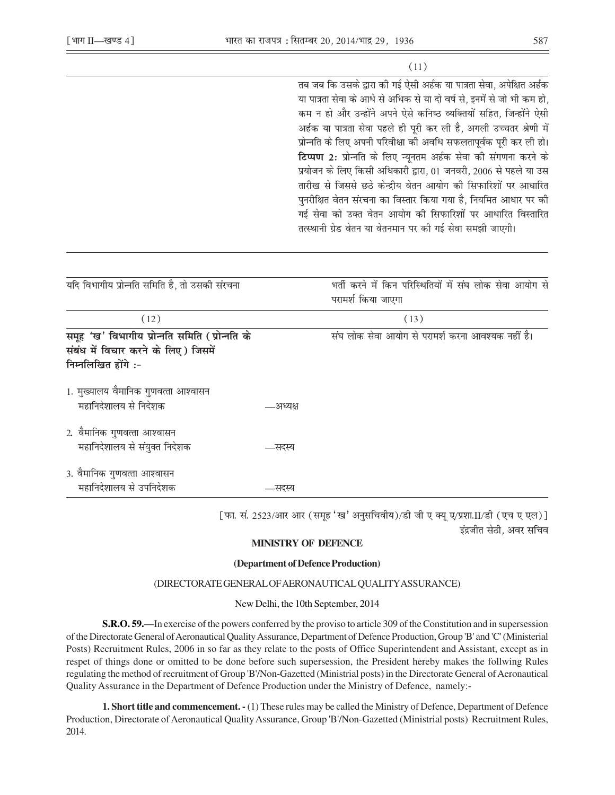# $(11)$

तब जब कि उसके द्वारा की गई ऐसी अर्हक या पात्रता सेवा. अपेक्षित अर्हक या पात्रता सेवा के आधे से अधिक से या दो वर्ष से, इनमें से जो भी कम हो, कम न हो और उन्होंने अपने ऐसे कनिष्ठ व्यक्तियों सहित, जिन्होंने ऐसी अर्हक या पात्रता सेवा पहले ही पूरी कर ली है, अगली उच्चतर श्रेणी में प्रोन्नति के लिए अपनी परिवीक्षा की अवधि सफलतापूर्वक पूरी कर ली हो। टिप्पण 2: प्रोन्नति के लिए न्यनतम अर्हक सेवा की संगणना करने के प्रयोजन के लिए किसी अधिकारी द्वारा, 01 जनवरी, 2006 से पहले या उस तारीख से जिससे छठे केन्द्रीय वेतन आयोग की सिफारिशों पर आधारित पुनरीक्षित वेतन संरचना का विस्तार किया गया है, नियमित आधार पर की गई सेवा को उक्त वेतन आयोग की सिफारिशों पर आधारित विस्तारित तत्स्थानी ग्रेड वेतन या वेतनमान पर की गई सेवा समझी जाएगी।

| यदि विभागीय प्रोन्नति समिति है, तो उसकी संरचना                                                               |          | भर्ती करने में किन परिस्थितियों में संघ लोक सेवा आयोग से<br>परामर्श किया जाएगा |
|--------------------------------------------------------------------------------------------------------------|----------|--------------------------------------------------------------------------------|
| (12)                                                                                                         |          | (13)                                                                           |
| समूह 'ख' विभागीय प्रोन्नति समिति (प्रोन्नति के<br>संबंध में विचार करने के लिए) जिसमें<br>निम्नलिखित होंगे :- |          | संघ लोक सेवा आयोग से परामर्श करना आवश्यक नहीं है।                              |
| 1. मुख्यालय वैमानिक गुणवत्ता आश्वासन<br>महानिदेशालय से निदेशक                                                | —अध्यक्ष |                                                                                |
| 2. वैमानिक गुणवत्ता आश्वासन<br>महानिदेशालय से संयुक्त निदेशक                                                 | —सदस्य   |                                                                                |
| 3. वैमानिक गुणवत्ता आश्वासन<br>महानिदेशालय से उपनिदेशक                                                       | सदस्य    |                                                                                |

[फा. सं. 2523/आर आर (समूह 'ख' अनुसचिवीय)/डी जी ए क्यू ए/प्रशा.II/डी (एच ए एल)] इंद्रजीत सेठी. अवर सचिव

## **MINISTRY OF DEFENCE**

#### (Department of Defence Production)

### (DIRECTORATE GENERAL OF AERONAUTICAL QUALITY ASSURANCE)

#### New Delhi, the 10th September, 2014

**S.R.O. 59.**—In exercise of the powers conferred by the proviso to article 309 of the Constitution and in supersession of the Directorate General of Aeronautical Quality Assurance, Department of Defence Production, Group 'B' and 'C' (Ministerial Posts) Recruitment Rules, 2006 in so far as they relate to the posts of Office Superintendent and Assistant, except as in respet of things done or omitted to be done before such supersession, the President hereby makes the follwing Rules regulating the method of recruitment of Group 'B'/Non-Gazetted (Ministrial posts) in the Directorate General of Aeronautical Quality Assurance in the Department of Defence Production under the Ministry of Defence, namely:-

**1. Short title and commencement.** - (1) These rules may be called the Ministry of Defence, Department of Defence Production, Directorate of Aeronautical Quality Assurance, Group 'B'/Non-Gazetted (Ministrial posts) Recruitment Rules, 2014.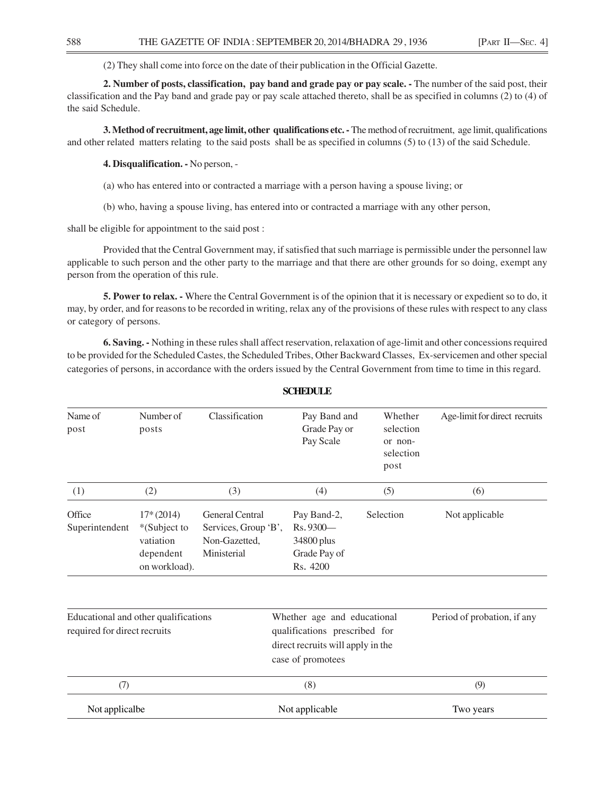(2) They shall come into force on the date of their publication in the Official Gazette.

**2. Number of posts, classification, pay band and grade pay or pay scale. -** The number of the said post, their classification and the Pay band and grade pay or pay scale attached thereto, shall be as specified in columns (2) to (4) of the said Schedule.

**3. Method of recruitment, age limit, other qualifications etc. -** The method of recruitment, age limit, qualifications and other related matters relating to the said posts shall be as specified in columns (5) to (13) of the said Schedule.

**4. Disqualification. -** No person, -

- (a) who has entered into or contracted a marriage with a person having a spouse living; or
- (b) who, having a spouse living, has entered into or contracted a marriage with any other person,

shall be eligible for appointment to the said post :

Provided that the Central Government may, if satisfied that such marriage is permissible under the personnel law applicable to such person and the other party to the marriage and that there are other grounds for so doing, exempt any person from the operation of this rule.

**5. Power to relax. -** Where the Central Government is of the opinion that it is necessary or expedient so to do, it may, by order, and for reasons to be recorded in writing, relax any of the provisions of these rules with respect to any class or category of persons.

**6. Saving. -** Nothing in these rules shall affect reservation, relaxation of age-limit and other concessions required to be provided for the Scheduled Castes, the Scheduled Tribes, Other Backward Classes, Ex-servicemen and other special categories of persons, in accordance with the orders issued by the Central Government from time to time in this regard.

| Name of<br>post                                                      | Number of<br>posts                                                     | Classification                                                                 | Pay Band and<br>Grade Pay or<br>Pay Scale                                                                              | Whether<br>selection<br>or non-<br>selection<br>post | Age-limit for direct recruits |
|----------------------------------------------------------------------|------------------------------------------------------------------------|--------------------------------------------------------------------------------|------------------------------------------------------------------------------------------------------------------------|------------------------------------------------------|-------------------------------|
| (1)                                                                  | (2)                                                                    | (3)                                                                            | (4)                                                                                                                    | (5)                                                  | (6)                           |
| Office<br>Superintendent                                             | $17*(2014)$<br>*(Subject to<br>vatiation<br>dependent<br>on workload). | <b>General Central</b><br>Services, Group 'B',<br>Non-Gazetted,<br>Ministerial | Pay Band-2,<br>Rs. 9300-<br>34800 plus<br>Grade Pay of<br>Rs. 4200                                                     | Selection                                            | Not applicable                |
| Educational and other qualifications<br>required for direct recruits |                                                                        |                                                                                | Whether age and educational<br>qualifications prescribed for<br>direct recruits will apply in the<br>case of promotees | Period of probation, if any                          |                               |
| (7)                                                                  |                                                                        |                                                                                | (8)                                                                                                                    |                                                      | (9)                           |
| Not applicalbe                                                       |                                                                        |                                                                                | Not applicable                                                                                                         |                                                      | Two years                     |

**SCHEDULE**